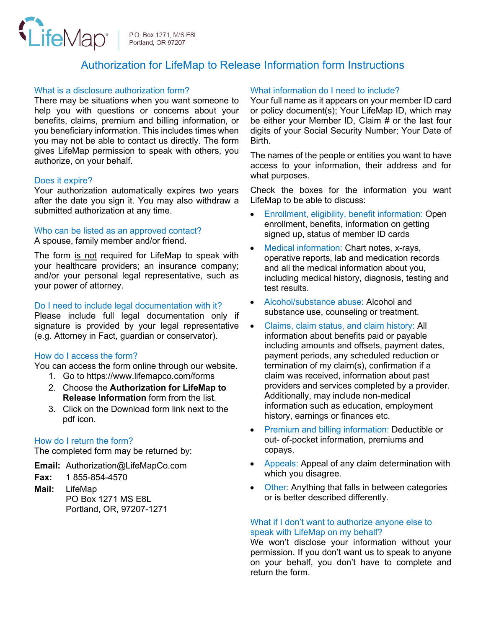

P.O. Box 1271, M/S E8L Portland, OR 97207

# Authorization for LifeMap to Release Information form Instructions

#### What is a disclosure authorization form?

There may be situations when you want someone to help you with questions or concerns about your benefits, claims, premium and billing information, or you beneficiary information. This includes times when you may not be able to contact us directly. The form gives LifeMap permission to speak with others, you authorize, on your behalf.

#### Does it expire?

Your authorization automatically expires two years after the date you sign it. You may also withdraw a submitted authorization at any time.

#### Who can be listed as an approved contact?

A spouse, family member and/or friend.

The form is not required for LifeMap to speak with your healthcare providers; an insurance company; and/or your personal legal representative, such as your power of attorney.

# Do I need to include legal documentation with it?

Please include full legal documentation only if signature is provided by your legal representative (e.g. Attorney in Fact, guardian or conservator).

# How do I access the form?

You can access the form online through our website.

- 1. Go to https://www.lifemapco.com/forms
- 2. Choose the **Authorization for LifeMap to Release Information** form from the list.
- 3. Click on the Download form link next to the pdf icon.

# How do I return the form?

The completed form may be returned by:

**Email:** Authorization@LifeMapCo.com

- **Fax:** 1 855-854-4570
- **Mail:** LifeMap PO Box 1271 MS E8L Portland, OR, 97207-1271

# What information do I need to include?

Your full name as it appears on your member ID card or policy document(s); Your LifeMap ID, which may be either your Member ID, Claim # or the last four digits of your Social Security Number; Your Date of Birth.

The names of the people or entities you want to have access to your information, their address and for what purposes.

Check the boxes for the information you want LifeMap to be able to discuss:

- Enrollment, eligibility, benefit information: Open enrollment, benefits, information on getting signed up, status of member ID cards
- Medical information: Chart notes, x-rays, operative reports, lab and medication records and all the medical information about you, including medical history, diagnosis, testing and test results.
- Alcohol/substance abuse: Alcohol and substance use, counseling or treatment.
- Claims, claim status, and claim history: All information about benefits paid or payable including amounts and offsets, payment dates, payment periods, any scheduled reduction or termination of my claim(s), confirmation if a claim was received, information about past providers and services completed by a provider. Additionally, may include non-medical information such as education, employment history, earnings or finances etc.
- Premium and billing information: Deductible or out- of-pocket information, premiums and copays.
- Appeals: Appeal of any claim determination with which you disagree.
- Other: Anything that falls in between categories or is better described differently.

#### What if I don't want to authorize anyone else to speak with LifeMap on my behalf?

We won't disclose your information without your permission. If you don't want us to speak to anyone on your behalf, you don't have to complete and return the form.